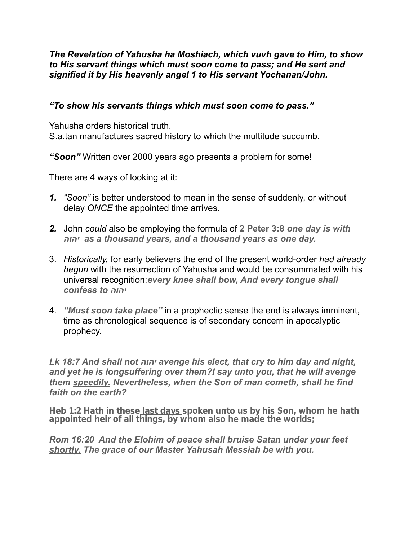### *The Revelation of Yahusha ha Moshiach, which vuvh gave to Him, to show to His servant things which must soon come to pass; and He sent and signified it by His heavenly angel 1 to His servant Yochanan/John.*

## *"To show his servants things which must soon come to pass."*

Yahusha orders historical truth. S.a.tan manufactures sacred history to which the multitude succumb.

*"Soon"* Written over 2000 years ago presents a problem for some!

There are 4 ways of looking at it:

- *1. "Soon"* is better understood to mean in the sense of suddenly, or without delay *ONCE* the appointed time arrives.
- *2.* John *could* also be employing the formula of **2 Peter 3:8** *one day is with יהוה as a thousand years, and a thousand years as one day.*
- 3. *Historically,* for early believers the end of the present world-order *had already begun* with the resurrection of Yahusha and would be consummated with his universal recognition:*every knee shall bow, And every tongue shall confess to יהוה*
- 4. *"Must soon take place"* in a prophectic sense the end is always imminent, time as chronological sequence is of secondary concern in apocalyptic prophecy.

*Lk 18:7 And shall not יהוה avenge his elect, that cry to him day and night, and yet he is longsuffering over them?I say unto you, that he will avenge them speedily. Nevertheless, when the Son of man cometh, shall he find faith on the earth?* 

*Heb 1:2 Hath in these last days spoken unto us by his Son, whom he hath appointed heir of all things, by whom also he made the worlds;* 

*Rom 16:20 And the Elohim of peace shall bruise Satan under your feet shortly. The grace of our Master Yahusah Messiah be with you.*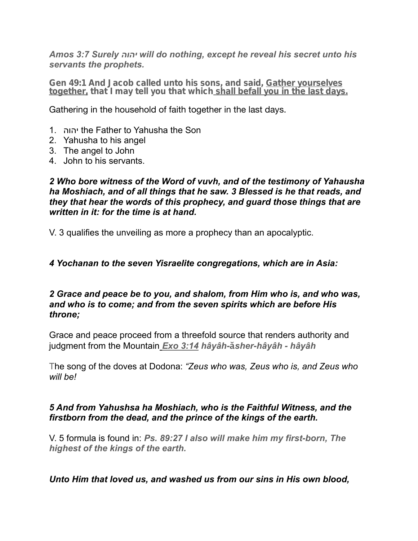*Amos 3:7 Surely יהוה will do nothing, except he reveal his secret unto his servants the prophets.* 

*Gen 49:1 And Jacob called unto his sons, and said, Gather yourselves together, that I may tell you that which shall befall you in the last days.* 

Gathering in the household of faith together in the last days.

- 1. יהוה the Father to Yahusha the Son
- 2. Yahusha to his angel
- 3. The angel to John
- 4. John to his servants.

*2 Who bore witness of the Word of vuvh, and of the testimony of Yahausha ha Moshiach, and of all things that he saw. 3 Blessed is he that reads, and they that hear the words of this prophecy, and guard those things that are written in it: for the time is at hand.* 

V. 3 qualifies the unveiling as more a prophecy than an apocalyptic.

### *4 Yochanan to the seven Yisraelite congregations, which are in Asia:*

### *2 Grace and peace be to you, and shalom, from Him who is, and who was, and who is to come; and from the seven spirits which are before His throne;*

Grace and peace proceed from a threefold source that renders authority and judgment from the Mountain *Exo 3:14 hâyâh-***ă***sher-hâyâh - hâyâh* 

The song of the doves at Dodona: *"Zeus who was, Zeus who is, and Zeus who will be!* 

# *5 And from Yahushsa ha Moshiach, who is the Faithful Witness, and the firstborn from the dead, and the prince of the kings of the earth.*

V. 5 formula is found in: *Ps. 89:27 I also will make him my first-born, The highest of the kings of the earth.* 

# *Unto Him that loved us, and washed us from our sins in His own blood,*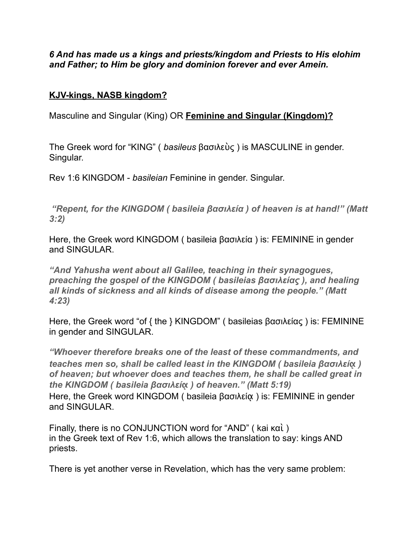# *6 And has made us a kings and priests/kingdom and Priests to His elohim and Father; to Him be glory and dominion forever and ever Amein.*

# **KJV-kings, NASB kingdom?**

Masculine and Singular (King) OR **Feminine and Singular (Kingdom)?** 

The Greek word for "KING" ( *basileus* βασιλεὺς ) is MASCULINE in gender. Singular.

Rev 1:6 KINGDOM - *basileian* Feminine in gender. Singular.

 *"Repent, for the KINGDOM ( basileia βασιλεία ) of heaven is at hand!" (Matt 3:2)* 

Here, the Greek word KINGDOM ( basileia βασιλεία ) is: FEMININE in gender and SINGULAR.

*"And Yahusha went about all Galilee, teaching in their synagogues, preaching the gospel of the KINGDOM ( basileias βασιλείας ), and healing all kinds of sickness and all kinds of disease among the people." (Matt 4:23)* 

Here, the Greek word "of { the } KINGDOM" ( basileias βασιλείας ) is: FEMININE in gender and SINGULAR.

*"Whoever therefore breaks one of the least of these commandments, and teaches men so, shall be called least in the KINGDOM ( basileia βασιλεί***ᾳ** *) of heaven; but whoever does and teaches them, he shall be called great in the KINGDOM ( basileia βασιλεί***ᾳ** *) of heaven." (Matt 5:19)*  Here, the Greek word KINGDOM ( basileia βασιλεία ) is: FEMININE in gender and SINGULAR.

Finally, there is no CONJUNCTION word for "AND" ( kai καὶ ) in the Greek text of Rev 1:6, which allows the translation to say: kings AND priests.

There is yet another verse in Revelation, which has the very same problem: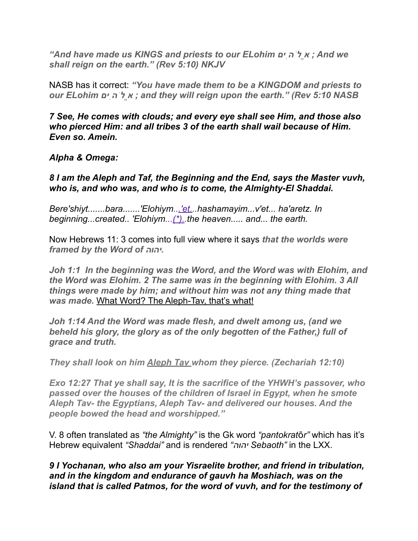*"And have made us KINGS and priests to our ELohim יםִהֹלֱא ; And we shall reign on the earth." (Rev 5:10) NKJV* 

NASB has it correct: *"You have made them to be a KINGDOM and priests to our ELohim יםִהֹלֱא ; and they will reign upon the earth." (Rev 5:10 NASB*

*7 See, He comes with clouds; and every eye shall see Him, and those also who pierced Him: and all tribes 3 of the earth shall wail because of Him. Even so. Amein.* 

*Alpha & Omega:* 

*8 I am the Aleph and Taf, the Beginning and the End, says the Master vuvh, who is, and who was, and who is to come, the Almighty-El Shaddai.* 

*Bere'shiyt.......bara.......'Elohiym...'et...hashamayim...v'et... ha'aretz. In beginning...created.. 'Elohiym...(\*)..the heaven..... and... the earth.* 

Now Hebrews 11: 3 comes into full view where it says *that the worlds were framed by the Word of יהוה.*

*Joh 1:1 In the beginning was the Word, and the Word was with Elohim, and the Word was Elohim. 2 The same was in the beginning with Elohim. 3 All things were made by him; and without him was not any thing made that was made.* What Word? The Aleph-Tav, that's what!

*Joh 1:14 And the Word was made flesh, and dwelt among us, (and we beheld his glory, the glory as of the only begotten of the Father,) full of grace and truth.* 

*They shall look on him Aleph Tav whom they pierce. (Zechariah 12:10)* 

*Exo 12:27 That ye shall say, It is the sacrifice of the YHWH's passover, who passed over the houses of the children of Israel in Egypt, when he smote Aleph Tav- the Egyptians, Aleph Tav- and delivered our houses. And the people bowed the head and worshipped."* 

V. 8 often translated as *"the Almighty"* is the Gk word *"pantokrat*ō*r"* which has it's Hebrew equivalent *"Shaddai"* and is rendered *"יהוה Sebaoth"* in the LXX.

*9 I Yochanan, who also am your Yisraelite brother, and friend in tribulation, and in the kingdom and endurance of gauvh ha Moshiach, was on the island that is called Patmos, for the word of vuvh, and for the testimony of*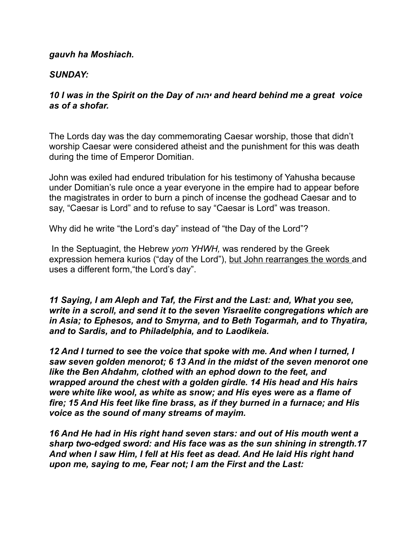#### *gauvh ha Moshiach.*

#### *SUNDAY:*

#### *10 I was in the Spirit on the Day of יהוה and heard behind me a great voice as of a shofar.*

The Lords day was the day commemorating Caesar worship, those that didn't worship Caesar were considered atheist and the punishment for this was death during the time of Emperor Domitian.

John was exiled had endured tribulation for his testimony of Yahusha because under Domitian's rule once a year everyone in the empire had to appear before the magistrates in order to burn a pinch of incense the godhead Caesar and to say, "Caesar is Lord" and to refuse to say "Caesar is Lord" was treason.

Why did he write "the Lord's day" instead of "the Day of the Lord"?

 In the Septuagint, the Hebrew *yom YHWH,* was rendered by the Greek expression hemera kurios ("day of the Lord"), but John rearranges the words and uses a different form,"the Lord's day".

*11 Saying, I am Aleph and Taf, the First and the Last: and, What you see, write in a scroll, and send it to the seven Yisraelite congregations which are in Asia; to Ephesos, and to Smyrna, and to Beth Togarmah, and to Thyatira, and to Sardis, and to Philadelphia, and to Laodikeia.* 

*12 And I turned to see the voice that spoke with me. And when I turned, I saw seven golden menorot; 6 13 And in the midst of the seven menorot one like the Ben Ahdahm, clothed with an ephod down to the feet, and wrapped around the chest with a golden girdle. 14 His head and His hairs were white like wool, as white as snow; and His eyes were as a flame of fire; 15 And His feet like fine brass, as if they burned in a furnace; and His voice as the sound of many streams of mayim.* 

*16 And He had in His right hand seven stars: and out of His mouth went a sharp two-edged sword: and His face was as the sun shining in strength.17 And when I saw Him, I fell at His feet as dead. And He laid His right hand upon me, saying to me, Fear not; I am the First and the Last:*